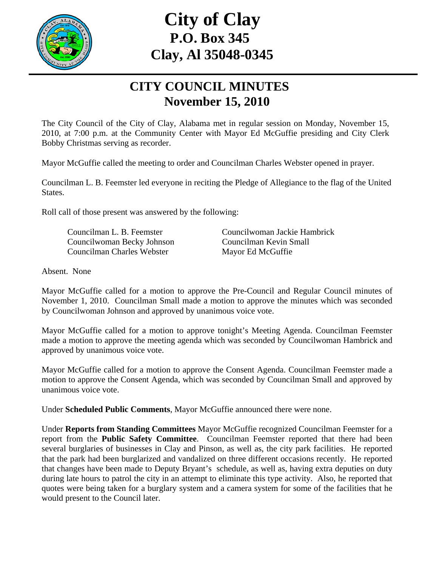

# **City of Clay P.O. Box 345 Clay, Al 35048-0345**

## **CITY COUNCIL MINUTES November 15, 2010**

The City Council of the City of Clay, Alabama met in regular session on Monday, November 15, 2010, at 7:00 p.m. at the Community Center with Mayor Ed McGuffie presiding and City Clerk Bobby Christmas serving as recorder.

Mayor McGuffie called the meeting to order and Councilman Charles Webster opened in prayer.

Councilman L. B. Feemster led everyone in reciting the Pledge of Allegiance to the flag of the United States.

Roll call of those present was answered by the following:

 Councilwoman Becky Johnson Councilman Kevin Small Councilman Charles Webster Mayor Ed McGuffie

Councilman L. B. Feemster Councilwoman Jackie Hambrick

Absent. None

Mayor McGuffie called for a motion to approve the Pre-Council and Regular Council minutes of November 1, 2010. Councilman Small made a motion to approve the minutes which was seconded by Councilwoman Johnson and approved by unanimous voice vote.

Mayor McGuffie called for a motion to approve tonight's Meeting Agenda. Councilman Feemster made a motion to approve the meeting agenda which was seconded by Councilwoman Hambrick and approved by unanimous voice vote.

Mayor McGuffie called for a motion to approve the Consent Agenda. Councilman Feemster made a motion to approve the Consent Agenda, which was seconded by Councilman Small and approved by unanimous voice vote.

Under **Scheduled Public Comments**, Mayor McGuffie announced there were none.

Under **Reports from Standing Committees** Mayor McGuffie recognized Councilman Feemster for a report from the **Public Safety Committee**. Councilman Feemster reported that there had been several burglaries of businesses in Clay and Pinson, as well as, the city park facilities. He reported that the park had been burglarized and vandalized on three different occasions recently. He reported that changes have been made to Deputy Bryant's schedule, as well as, having extra deputies on duty during late hours to patrol the city in an attempt to eliminate this type activity. Also, he reported that quotes were being taken for a burglary system and a camera system for some of the facilities that he would present to the Council later.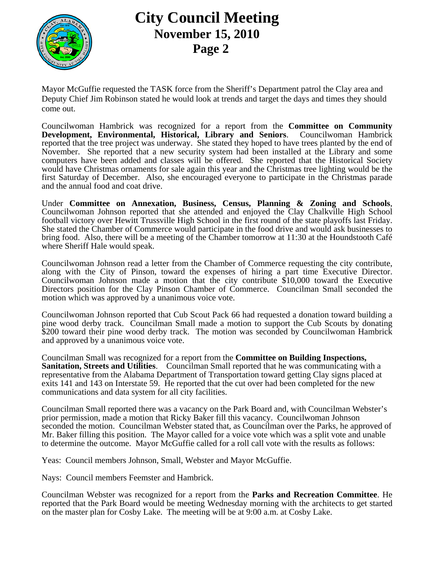

#### **City Council Meeting November 15, 2010 Page 2**

Mayor McGuffie requested the TASK force from the Sheriff's Department patrol the Clay area and Deputy Chief Jim Robinson stated he would look at trends and target the days and times they should come out.

Councilwoman Hambrick was recognized for a report from the **Committee on Community Development, Environmental, Historical, Library and Seniors**. Councilwoman Hambrick reported that the tree project was underway. She stated they hoped to have trees planted by the end of November. She reported that a new security system had been installed at the Library and some computers have been added and classes will be offered. She reported that the Historical Society would have Christmas ornaments for sale again this year and the Christmas tree lighting would be the first Saturday of December. Also, she encouraged everyone to participate in the Christmas parade and the annual food and coat drive.

Under **Committee on Annexation, Business, Census, Planning & Zoning and Schools**, Councilwoman Johnson reported that she attended and enjoyed the Clay Chalkville High School football victory over Hewitt Trussville High School in the first round of the state playoffs last Friday. She stated the Chamber of Commerce would participate in the food drive and would ask businesses to bring food. Also, there will be a meeting of the Chamber tomorrow at 11:30 at the Houndstooth Café where Sheriff Hale would speak.

Councilwoman Johnson read a letter from the Chamber of Commerce requesting the city contribute, along with the City of Pinson, toward the expenses of hiring a part time Executive Director. Councilwoman Johnson made a motion that the city contribute \$10,000 toward the Executive Directors position for the Clay Pinson Chamber of Commerce. Councilman Small seconded the motion which was approved by a unanimous voice vote.

Councilwoman Johnson reported that Cub Scout Pack 66 had requested a donation toward building a pine wood derby track. Councilman Small made a motion to support the Cub Scouts by donating \$200 toward their pine wood derby track. The motion was seconded by Councilwoman Hambrick and approved by a unanimous voice vote.

Councilman Small was recognized for a report from the **Committee on Building Inspections, Sanitation, Streets and Utilities**. Councilman Small reported that he was communicating with a representative from the Alabama Department of Transportation toward getting Clay signs placed at exits 141 and 143 on Interstate 59. He reported that the cut over had been completed for the new communications and data system for all city facilities.

Councilman Small reported there was a vacancy on the Park Board and, with Councilman Webster's prior permission, made a motion that Ricky Baker fill this vacancy. Councilwoman Johnson seconded the motion. Councilman Webster stated that, as Councilman over the Parks, he approved of Mr. Baker filling this position. The Mayor called for a voice vote which was a split vote and unable to determine the outcome. Mayor McGuffie called for a roll call vote with the results as follows:

Yeas: Council members Johnson, Small, Webster and Mayor McGuffie.

Nays: Council members Feemster and Hambrick.

Councilman Webster was recognized for a report from the **Parks and Recreation Committee**. He reported that the Park Board would be meeting Wednesday morning with the architects to get started on the master plan for Cosby Lake. The meeting will be at 9:00 a.m. at Cosby Lake.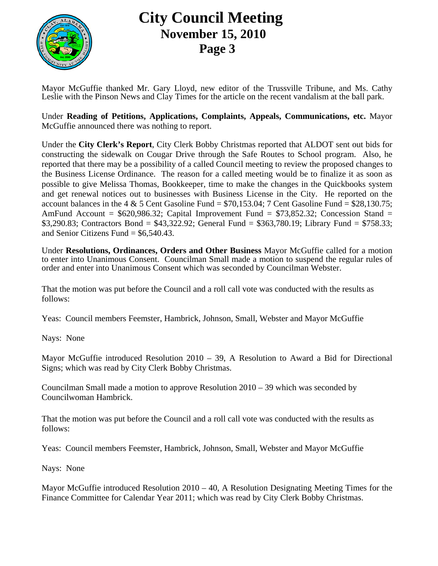

## **City Council Meeting November 15, 2010 Page 3**

Mayor McGuffie thanked Mr. Gary Lloyd, new editor of the Trussville Tribune, and Ms. Cathy Leslie with the Pinson News and Clay Times for the article on the recent vandalism at the ball park.

Under **Reading of Petitions, Applications, Complaints, Appeals, Communications, etc.** Mayor McGuffie announced there was nothing to report.

Under the **City Clerk's Report**, City Clerk Bobby Christmas reported that ALDOT sent out bids for constructing the sidewalk on Cougar Drive through the Safe Routes to School program. Also, he reported that there may be a possibility of a called Council meeting to review the proposed changes to the Business License Ordinance. The reason for a called meeting would be to finalize it as soon as possible to give Melissa Thomas, Bookkeeper, time to make the changes in the Quickbooks system and get renewal notices out to businesses with Business License in the City. He reported on the account balances in the 4  $&$  5 Cent Gasoline Fund = \$70,153.04; 7 Cent Gasoline Fund = \$28,130.75; AmFund Account =  $$620,986.32$ ; Capital Improvement Fund =  $$73,852.32$ ; Concession Stand = \$3,290.83; Contractors Bond = \$43,322.92; General Fund = \$363,780.19; Library Fund = \$758.33; and Senior Citizens Fund  $=$  \$6,540.43.

Under **Resolutions, Ordinances, Orders and Other Business** Mayor McGuffie called for a motion to enter into Unanimous Consent. Councilman Small made a motion to suspend the regular rules of order and enter into Unanimous Consent which was seconded by Councilman Webster.

That the motion was put before the Council and a roll call vote was conducted with the results as follows:

Yeas: Council members Feemster, Hambrick, Johnson, Small, Webster and Mayor McGuffie

Nays: None

Mayor McGuffie introduced Resolution 2010 – 39, A Resolution to Award a Bid for Directional Signs; which was read by City Clerk Bobby Christmas.

Councilman Small made a motion to approve Resolution 2010 – 39 which was seconded by Councilwoman Hambrick.

That the motion was put before the Council and a roll call vote was conducted with the results as follows:

Yeas: Council members Feemster, Hambrick, Johnson, Small, Webster and Mayor McGuffie

Nays: None

Mayor McGuffie introduced Resolution  $2010 - 40$ , A Resolution Designating Meeting Times for the Finance Committee for Calendar Year 2011; which was read by City Clerk Bobby Christmas.